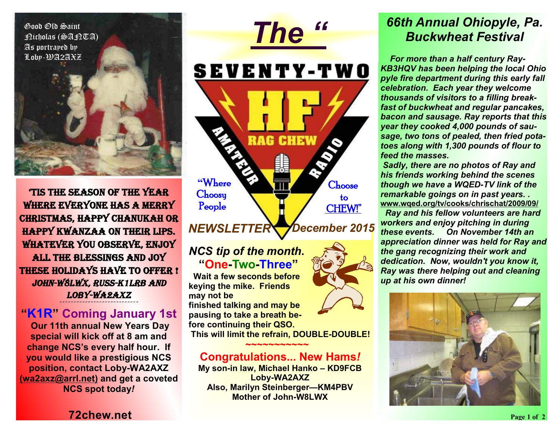Good Old Saint Nicholas (SANTA) As portrayed by Loby-WA2AXZ



**'Tis the season of the year where everyone has a Merry Christmas, Happy Chanukah or Happy Kwanzaa on their lips. Whatever you observe, enjoy all the blessings and joy these holidays have to offer !**  *John-W8LWX, Russ-K1LRB and Loby-WA2AXZ*  **~~~~~~~~~~~~~~~~~~~~~~~~~~~**<br>'

**"K1R" Coming January 1st** 

 **Our 11th annual New Years Day special will kick off at 8 am and change NCS's every half hour. If you would like a prestigious NCS position, contact Loby-WA2AXZ (wa2axz@arrl.net) and get a coveted NCS spot today***!*



*December 2015 NEWSLETTER* 

#### *NCS tip of the month***. "One-Two-Three"**

 **Wait a few seconds before keying the mike. Friends may not be finished talking and may be pausing to take a breath before continuing their QSO. This will limit the refrain, DOUBLE-DOUBLE!** 

#### **Congratulations... New Hams***!*

 **~~~~~~~~~~~**

**My son-in law, Michael Hanko – KD9FCB Loby-WA2AXZ Also, Marilyn Steinberger—KM4PBV Mother of John-W8LWX** 

### *66th Annual Ohiopyle, Pa. Buckwheat Festival*

 *For more than a half century Ray-KB3HQV has been helping the local Ohio pyle fire department during this early fall celebration. Each year they welcome thousands of visitors to a filling breakfast of buckwheat and regular pancakes, bacon and sausage. Ray reports that this year they cooked 4,000 pounds of sausage, two tons of pealed, then fried potatoes along with 1,300 pounds of flour to feed the masses.* 

*Sadly, there are no photos of Ray and his friends working behind the scenes though we have a WQED-TV link of the remarkable goings on in past years. .*  **www.wqed.org/tv/cooks/chrischat/2009/09/**

 *Ray and his fellow volunteers are hard workers and enjoy pitching in during these events. On November 14th an appreciation dinner was held for Ray and the gang recognizing their work and dedication. Now, wouldn't you know it, Ray was there helping out and cleaning up at his own dinner!* 



**72chew.net**